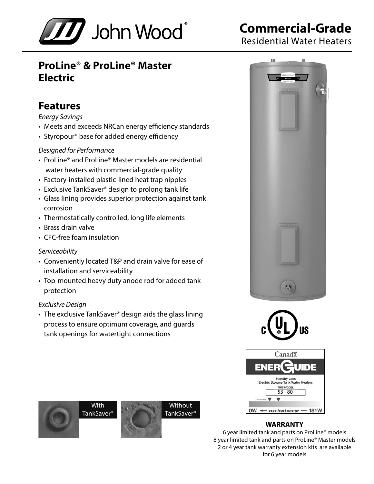

# **Commercial-Grade**

Residential Water Heaters

## **ProLine® & ProLine® Master Electric**

## **Features**

#### *Energy Savings*

- Meets and exceeds NRCan energy efficiency standards
- Styropour® base for added energy efficiency

#### *Designed for Performance*

- ProLine® and ProLine® Master models are residential water heaters with commercial-grade quality
- Factory-installed plastic-lined heat trap nipples
- Exclusive TankSaver® design to prolong tank life
- Glass lining provides superior protection against tank corrosion
- Thermostatically controlled, long life elements
- Brass drain valve
- CFC-free foam insulation

#### *Serviceability*

- Conveniently located T&P and drain valve for ease of installation and serviceability
- Top-mounted heavy duty anode rod for added tank protection

#### *Exclusive Design*

• The exclusive TankSaver® design aids the glass lining process to ensure optimum coverage, and guards tank openings for watertight connections





| Canadä                                                                                              |
|-----------------------------------------------------------------------------------------------------|
| ENER<br><b>UIDE</b><br>$\overline{\mathbf{C}}$                                                      |
| <b>Standby Loss</b><br><b>Electric Storage Tank Water Heaters</b><br><b>THIS MODEL</b><br>$53 - 80$ |
| This model                                                                                          |
| 181W<br>uses least energy                                                                           |

#### **WARRANTY**

6 year limited tank and parts on ProLine® models 8 year limited tank and parts on ProLine® Master models 2 or 4 year tank warranty extension kits are available for 6 year models

**With** TankSaver<sup>®</sup>



**Without** TankSaver®